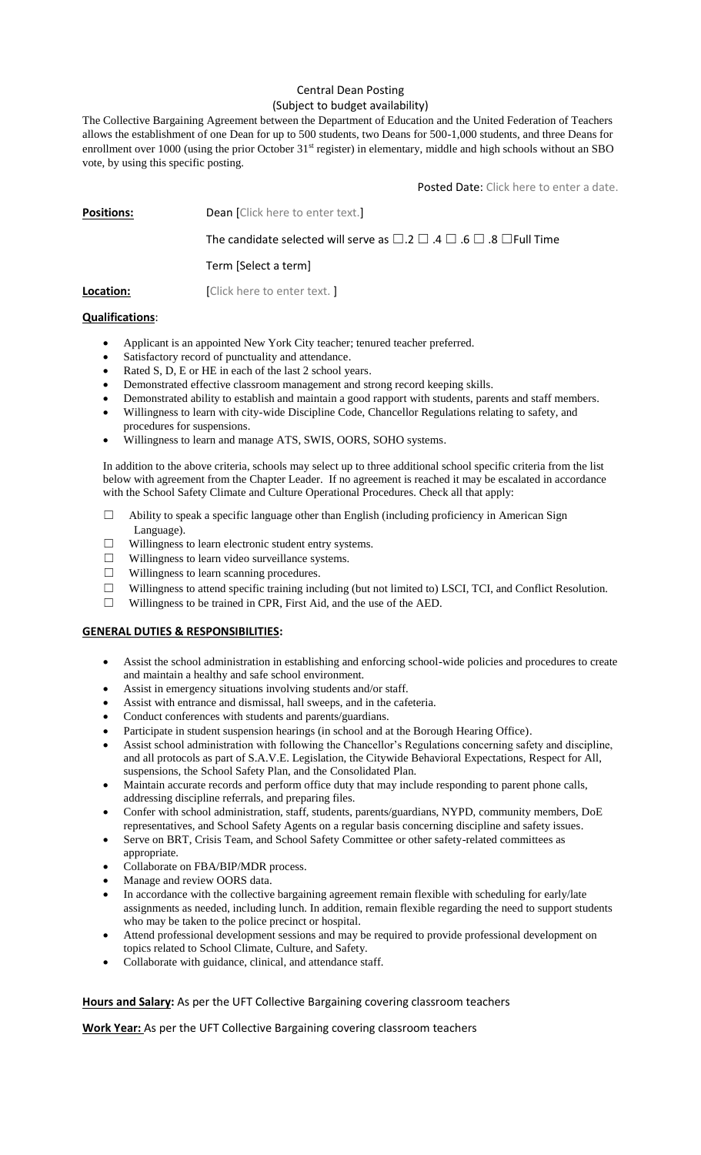## Central Dean Posting (Subject to budget availability)

The Collective Bargaining Agreement between the Department of Education and the United Federation of Teachers allows the establishment of one Dean for up to 500 students, two Deans for 500-1,000 students, and three Deans for enrollment over 1000 (using the prior October 31<sup>st</sup> register) in elementary, middle and high schools without an SBO vote, by using this specific posting.

Posted Date: Click here to enter a date.

**Positions:** Dean [Click here to enter text.]

The candidate selected will serve as  $\Box$ .2  $\Box$  .4  $\Box$  .6  $\Box$  .8  $\Box$  Full Time

Term [Select a term]

**Location:** [Click here to enter text.]

## **Qualifications**:

- Applicant is an appointed New York City teacher; tenured teacher preferred.
- Satisfactory record of punctuality and attendance.
- Rated S, D, E or HE in each of the last 2 school years.
- Demonstrated effective classroom management and strong record keeping skills.
- Demonstrated ability to establish and maintain a good rapport with students, parents and staff members.
- Willingness to learn with city-wide Discipline Code, Chancellor Regulations relating to safety, and procedures for suspensions.
- Willingness to learn and manage ATS, SWIS, OORS, SOHO systems.

In addition to the above criteria, schools may select up to three additional school specific criteria from the list below with agreement from the Chapter Leader. If no agreement is reached it may be escalated in accordance with the School Safety Climate and Culture Operational Procedures. Check all that apply:

- ☐ Ability to speak a specific language other than English (including proficiency in American Sign Language).
- ☐ Willingness to learn electronic student entry systems.
- $\Box$  Willingness to learn video surveillance systems.
- ☐ Willingness to learn scanning procedures.
- ☐ Willingness to attend specific training including (but not limited to) LSCI, TCI, and Conflict Resolution.
- ☐ Willingness to be trained in CPR, First Aid, and the use of the AED.

## **GENERAL DUTIES & RESPONSIBILITIES:**

- Assist the school administration in establishing and enforcing school-wide policies and procedures to create and maintain a healthy and safe school environment.
- Assist in emergency situations involving students and/or staff.
- Assist with entrance and dismissal, hall sweeps, and in the cafeteria.
- Conduct conferences with students and parents/guardians.
- Participate in student suspension hearings (in school and at the Borough Hearing Office).
- Assist school administration with following the Chancellor's Regulations concerning safety and discipline, and all protocols as part of S.A.V.E. Legislation, the Citywide Behavioral Expectations, Respect for All, suspensions, the School Safety Plan, and the Consolidated Plan.
- Maintain accurate records and perform office duty that may include responding to parent phone calls, addressing discipline referrals, and preparing files.
- Confer with school administration, staff, students, parents/guardians, NYPD, community members, DoE representatives, and School Safety Agents on a regular basis concerning discipline and safety issues.
- Serve on BRT, Crisis Team, and School Safety Committee or other safety-related committees as appropriate.
- Collaborate on FBA/BIP/MDR process.
- Manage and review OORS data.
- In accordance with the collective bargaining agreement remain flexible with scheduling for early/late assignments as needed, including lunch. In addition, remain flexible regarding the need to support students who may be taken to the police precinct or hospital.
- Attend professional development sessions and may be required to provide professional development on topics related to School Climate, Culture, and Safety.
- Collaborate with guidance, clinical, and attendance staff.

## **Hours and Salary:** As per the UFT Collective Bargaining covering classroom teachers

**Work Year:** As per the UFT Collective Bargaining covering classroom teachers